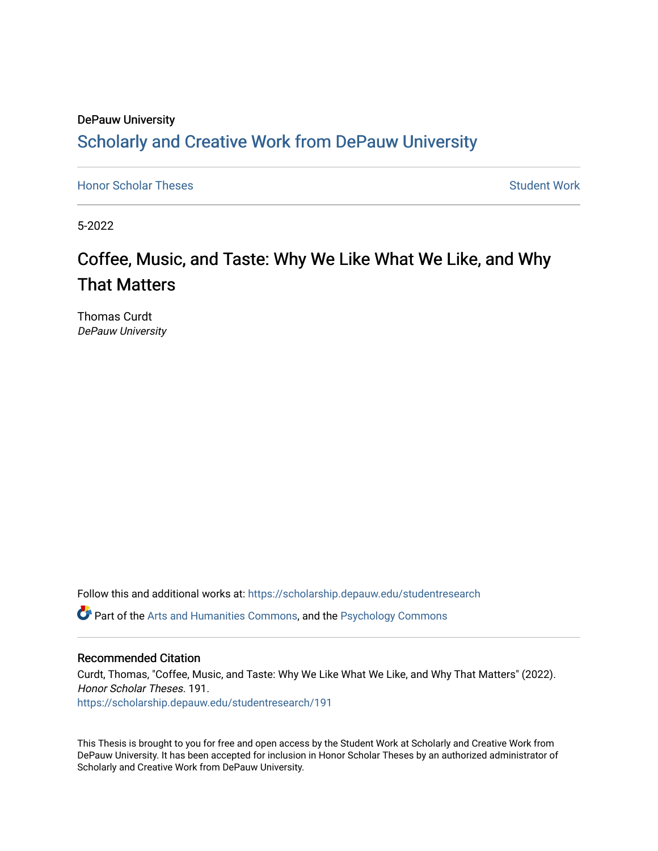# DePauw University Scholarly and [Creative Work from DePauw Univ](https://scholarship.depauw.edu/)ersity

**[Honor Scholar Theses](https://scholarship.depauw.edu/studentresearch) [Student Work](https://scholarship.depauw.edu/studentwork) Student Work Student Work** 

5-2022

# Coffee, Music, and Taste: Why We Like What We Like, and Why That Matters

Thomas Curdt DePauw University

Follow this and additional works at: [https://scholarship.depauw.edu/studentresearch](https://scholarship.depauw.edu/studentresearch?utm_source=scholarship.depauw.edu%2Fstudentresearch%2F191&utm_medium=PDF&utm_campaign=PDFCoverPages)

Part of the [Arts and Humanities Commons,](https://network.bepress.com/hgg/discipline/438?utm_source=scholarship.depauw.edu%2Fstudentresearch%2F191&utm_medium=PDF&utm_campaign=PDFCoverPages) and the [Psychology Commons](https://network.bepress.com/hgg/discipline/404?utm_source=scholarship.depauw.edu%2Fstudentresearch%2F191&utm_medium=PDF&utm_campaign=PDFCoverPages) 

#### Recommended Citation

Curdt, Thomas, "Coffee, Music, and Taste: Why We Like What We Like, and Why That Matters" (2022). Honor Scholar Theses. 191. [https://scholarship.depauw.edu/studentresearch/191](https://scholarship.depauw.edu/studentresearch/191?utm_source=scholarship.depauw.edu%2Fstudentresearch%2F191&utm_medium=PDF&utm_campaign=PDFCoverPages)

This Thesis is brought to you for free and open access by the Student Work at Scholarly and Creative Work from DePauw University. It has been accepted for inclusion in Honor Scholar Theses by an authorized administrator of Scholarly and Creative Work from DePauw University.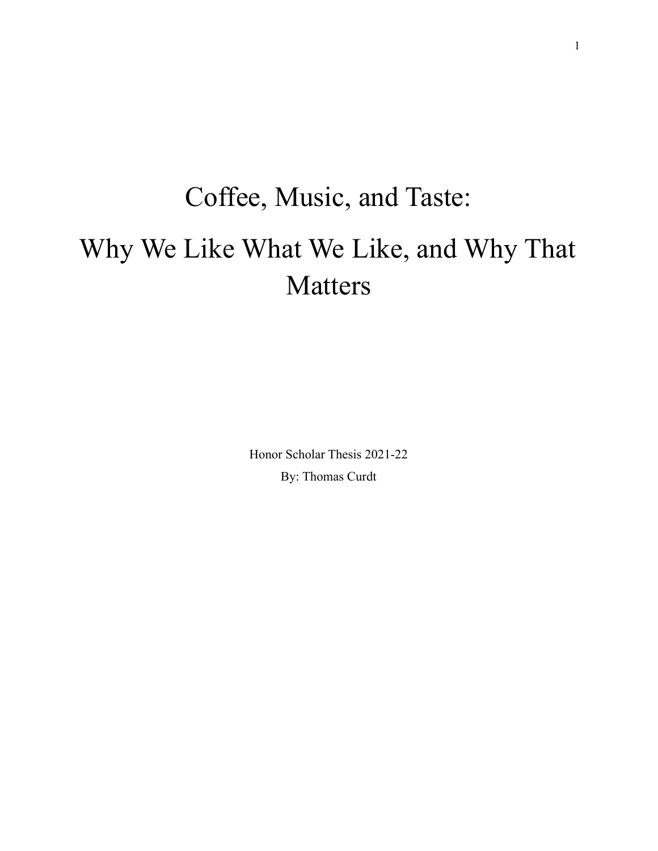# Coffee, Music, and Taste: Why We Like What We Like, and Why That Matters

Honor Scholar Thesis 2021-22 By: Thomas Curdt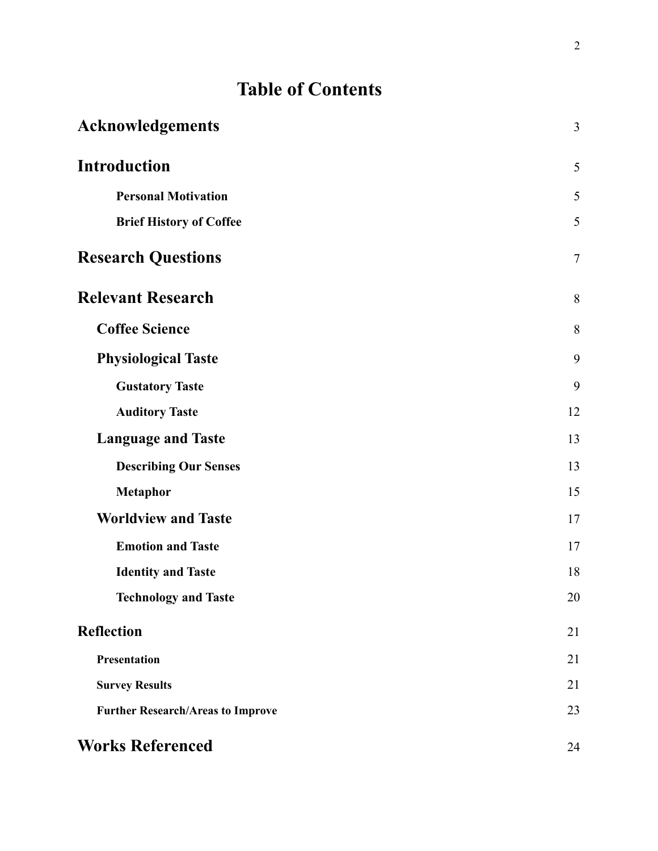# **Table of Contents**

| <b>Acknowledgements</b>                  | $\mathfrak{Z}$ |
|------------------------------------------|----------------|
| <b>Introduction</b>                      | 5              |
| <b>Personal Motivation</b>               | 5              |
| <b>Brief History of Coffee</b>           | 5              |
| <b>Research Questions</b>                | $\overline{7}$ |
| <b>Relevant Research</b>                 | 8              |
| <b>Coffee Science</b>                    | 8              |
| <b>Physiological Taste</b>               | 9              |
| <b>Gustatory Taste</b>                   | 9              |
| <b>Auditory Taste</b>                    | 12             |
| <b>Language and Taste</b>                | 13             |
| <b>Describing Our Senses</b>             | 13             |
| <b>Metaphor</b>                          | 15             |
| <b>Worldview and Taste</b>               | 17             |
| <b>Emotion and Taste</b>                 | 17             |
| <b>Identity and Taste</b>                | 18             |
| <b>Technology and Taste</b>              | 20             |
| <b>Reflection</b>                        | 21             |
| Presentation                             | 21             |
| <b>Survey Results</b>                    | 21             |
| <b>Further Research/Areas to Improve</b> | 23             |
| <b>Works Referenced</b>                  | 24             |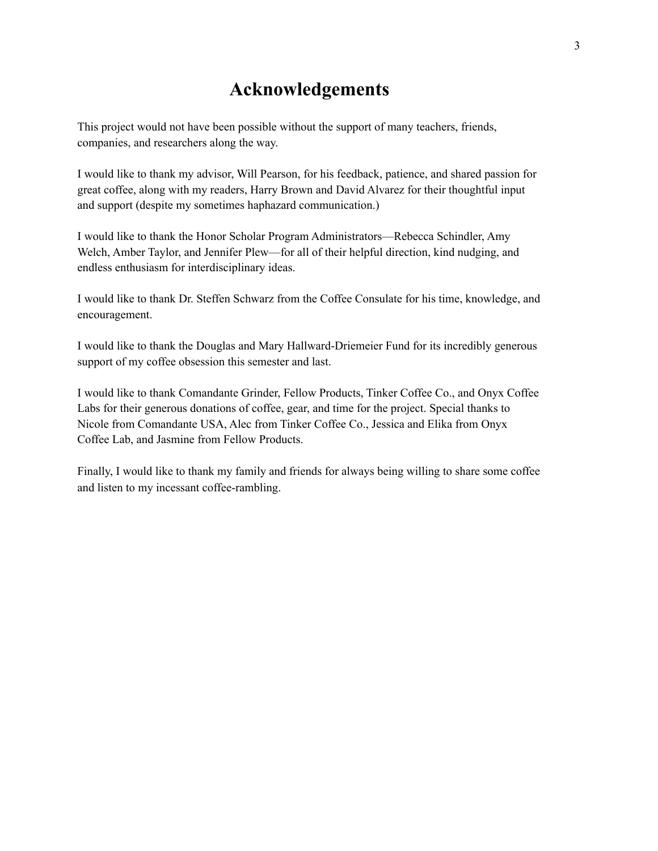# **Acknowledgements**

This project would not have been possible without the support of many teachers, friends, companies, and researchers along the way.

I would like to thank my advisor, Will Pearson, for his feedback, patience, and shared passion for great coffee, along with my readers, Harry Brown and David Alvarez for their thoughtful input and support (despite my sometimes haphazard communication.)

I would like to thank the Honor Scholar Program Administrators—Rebecca Schindler, Amy Welch, Amber Taylor, and Jennifer Plew—for all of their helpful direction, kind nudging, and endless enthusiasm for interdisciplinary ideas.

I would like to thank Dr. Steffen Schwarz from the Coffee Consulate for his time, knowledge, and encouragement.

I would like to thank the Douglas and Mary Hallward-Driemeier Fund for its incredibly generous support of my coffee obsession this semester and last.

I would like to thank Comandante Grinder, Fellow Products, Tinker Coffee Co., and Onyx Coffee Labs for their generous donations of coffee, gear, and time for the project. Special thanks to Nicole from Comandante USA, Alec from Tinker Coffee Co., Jessica and Elika from Onyx Coffee Lab, and Jasmine from Fellow Products.

Finally, I would like to thank my family and friends for always being willing to share some coffee and listen to my incessant coffee-rambling.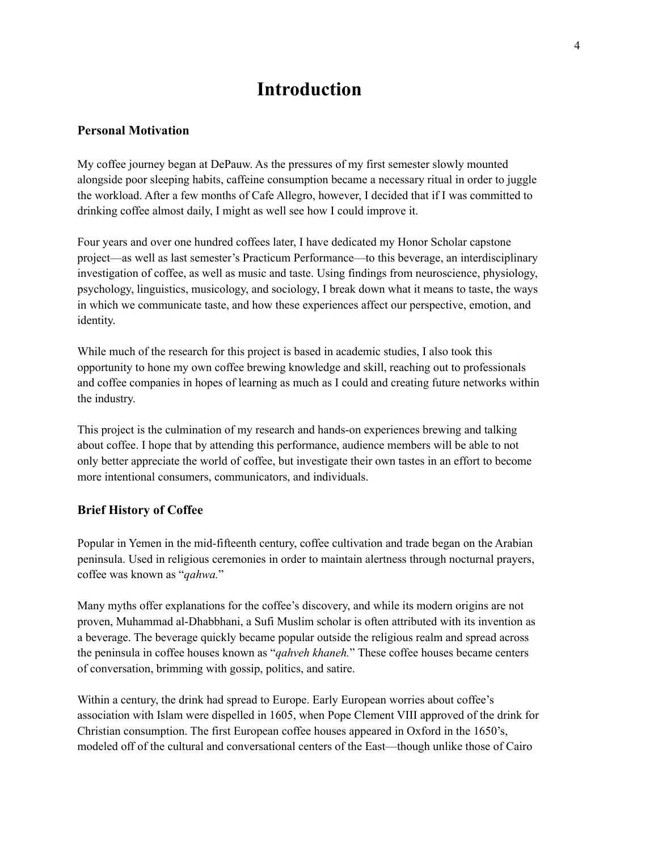# **Introduction**

#### **Personal Motivation**

My coffee journey began at DePauw. As the pressures of my first semester slowly mounted alongside poor sleeping habits, caffeine consumption became a necessary ritual in order to juggle the workload. After a few months of Cafe Allegro, however, I decided that if I was committed to drinking coffee almost daily, I might as well see how I could improve it.

Four years and over one hundred coffees later, I have dedicated my Honor Scholar capstone project—as well as last semester's Practicum Performance—to this beverage, an interdisciplinary investigation of coffee, as well as music and taste. Using findings from neuroscience, physiology, psychology, linguistics, musicology, and sociology, I break down what it means to taste, the ways in which we communicate taste, and how these experiences affect our perspective, emotion, and identity.

While much of the research for this project is based in academic studies, I also took this opportunity to hone my own coffee brewing knowledge and skill, reaching out to professionals and coffee companies in hopes of learning as much as I could and creating future networks within the industry.

This project is the culmination of my research and hands-on experiences brewing and talking about coffee. I hope that by attending this performance, audience members will be able to not only better appreciate the world of coffee, but investigate their own tastes in an effort to become more intentional consumers, communicators, and individuals.

#### **Brief History of Coffee**

Popular in Yemen in the mid-fifteenth century, coffee cultivation and trade began on the Arabian peninsula. Used in religious ceremonies in order to maintain alertness through nocturnal prayers, coffee was known as "*qahwa.*"

Many myths offer explanations for the coffee's discovery, and while its modern origins are not proven, Muhammad al-Dhabbhani, a Sufi Muslim scholar is often attributed with its invention as a beverage. The beverage quickly became popular outside the religious realm and spread across the peninsula in coffee houses known as "*qahveh khaneh.*" These coffee houses became centers of conversation, brimming with gossip, politics, and satire.

Within a century, the drink had spread to Europe. Early European worries about coffee's association with Islam were dispelled in 1605, when Pope Clement VIII approved of the drink for Christian consumption. The first European coffee houses appeared in Oxford in the 1650's, modeled off of the cultural and conversational centers of the East—though unlike those of Cairo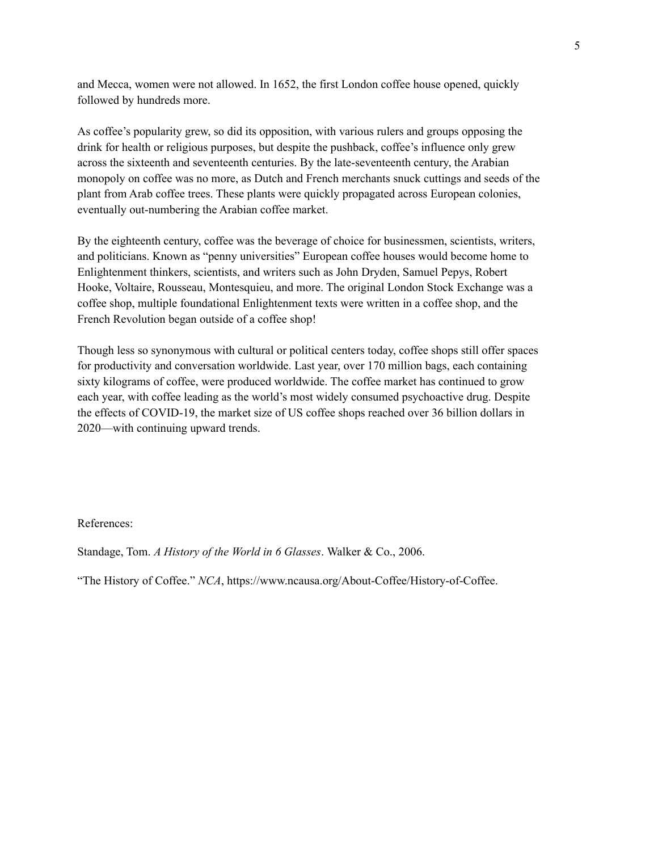and Mecca, women were not allowed. In 1652, the first London coffee house opened, quickly followed by hundreds more.

As coffee's popularity grew, so did its opposition, with various rulers and groups opposing the drink for health or religious purposes, but despite the pushback, coffee's influence only grew across the sixteenth and seventeenth centuries. By the late-seventeenth century, the Arabian monopoly on coffee was no more, as Dutch and French merchants snuck cuttings and seeds of the plant from Arab coffee trees. These plants were quickly propagated across European colonies, eventually out-numbering the Arabian coffee market.

By the eighteenth century, coffee was the beverage of choice for businessmen, scientists, writers, and politicians. Known as "penny universities" European coffee houses would become home to Enlightenment thinkers, scientists, and writers such as John Dryden, Samuel Pepys, Robert Hooke, Voltaire, Rousseau, Montesquieu, and more. The original London Stock Exchange was a coffee shop, multiple foundational Enlightenment texts were written in a coffee shop, and the French Revolution began outside of a coffee shop!

Though less so synonymous with cultural or political centers today, coffee shops still offer spaces for productivity and conversation worldwide. Last year, over 170 million bags, each containing sixty kilograms of coffee, were produced worldwide. The coffee market has continued to grow each year, with coffee leading as the world's most widely consumed psychoactive drug. Despite the effects of COVID-19, the market size of US coffee shops reached over 36 billion dollars in 2020—with continuing upward trends.

References:

Standage, Tom. *A History of the World in 6 Glasses*. Walker & Co., 2006.

"The History of Coffee." *NCA*, https://www.ncausa.org/About-Coffee/History-of-Coffee.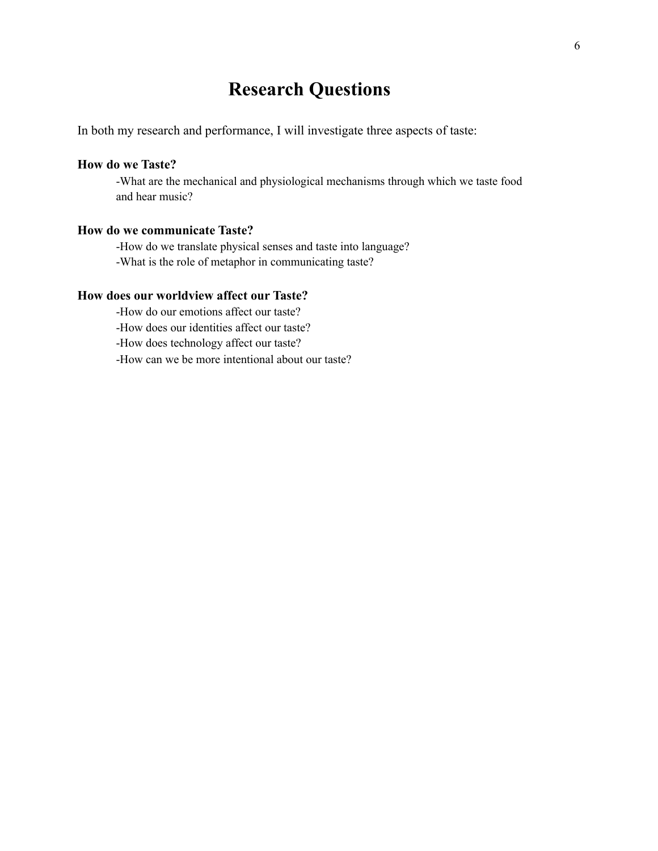# **Research Questions**

In both my research and performance, I will investigate three aspects of taste:

#### **How do we Taste?**

-What are the mechanical and physiological mechanisms through which we taste food and hear music?

#### **How do we communicate Taste?**

-How do we translate physical senses and taste into language? -What is the role of metaphor in communicating taste?

#### **How does our worldview affect our Taste?**

-How do our emotions affect our taste?

-How does our identities affect our taste?

-How does technology affect our taste?

-How can we be more intentional about our taste?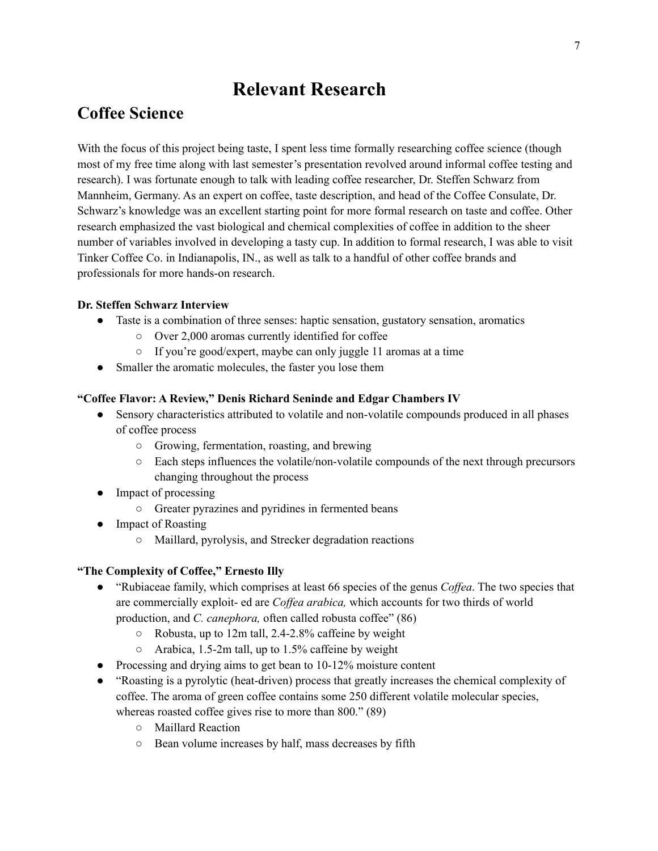# **Relevant Research**

### **Coffee Science**

With the focus of this project being taste, I spent less time formally researching coffee science (though most of my free time along with last semester's presentation revolved around informal coffee testing and research). I was fortunate enough to talk with leading coffee researcher, Dr. Steffen Schwarz from Mannheim, Germany. As an expert on coffee, taste description, and head of the Coffee Consulate, Dr. Schwarz's knowledge was an excellent starting point for more formal research on taste and coffee. Other research emphasized the vast biological and chemical complexities of coffee in addition to the sheer number of variables involved in developing a tasty cup. In addition to formal research, I was able to visit Tinker Coffee Co. in Indianapolis, IN., as well as talk to a handful of other coffee brands and professionals for more hands-on research.

#### **Dr. Steffen Schwarz Interview**

- Taste is a combination of three senses: haptic sensation, gustatory sensation, aromatics
	- Over 2,000 aromas currently identified for coffee
	- If you're good/expert, maybe can only juggle 11 aromas at a time
- Smaller the aromatic molecules, the faster you lose them

#### **"Coffee Flavor: A Review," Denis Richard Seninde and Edgar Chambers IV**

- Sensory characteristics attributed to volatile and non-volatile compounds produced in all phases of coffee process
	- Growing, fermentation, roasting, and brewing
	- Each steps influences the volatile/non-volatile compounds of the next through precursors changing throughout the process
- Impact of processing
	- Greater pyrazines and pyridines in fermented beans
- Impact of Roasting
	- Maillard, pyrolysis, and Strecker degradation reactions

#### **"The Complexity of Coffee," Ernesto Illy**

- "Rubiaceae family, which comprises at least 66 species of the genus *Coffea*. The two species that are commercially exploit- ed are *Coffea arabica,* which accounts for two thirds of world production, and *C. canephora,* often called robusta coffee" (86)
	- Robusta, up to 12m tall, 2.4-2.8% caffeine by weight
	- $\circ$  Arabica, 1.5-2m tall, up to 1.5% caffeine by weight
- Processing and drying aims to get bean to 10-12% moisture content
- "Roasting is a pyrolytic (heat-driven) process that greatly increases the chemical complexity of coffee. The aroma of green coffee contains some 250 different volatile molecular species, whereas roasted coffee gives rise to more than 800." (89)
	- Maillard Reaction
	- Bean volume increases by half, mass decreases by fifth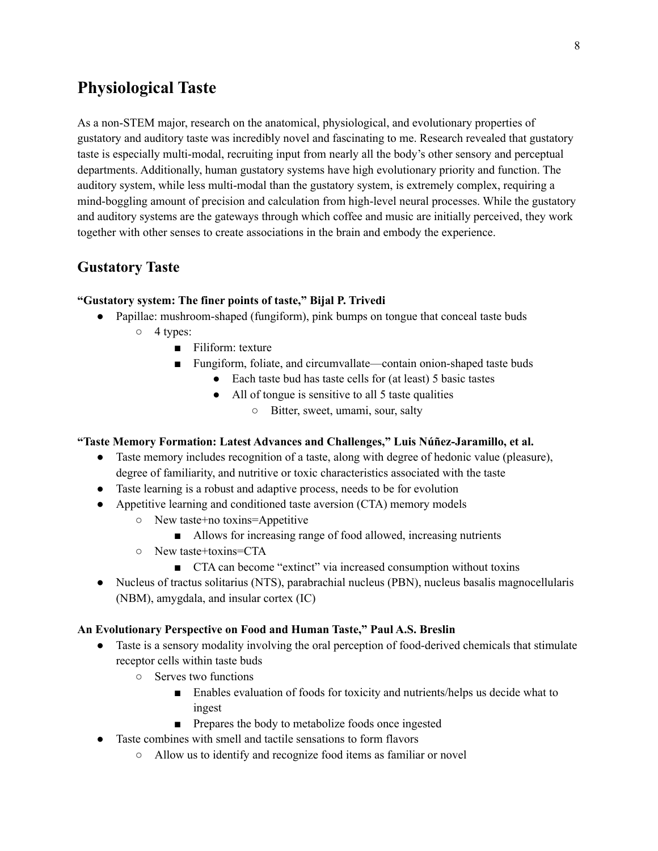### **Physiological Taste**

As a non-STEM major, research on the anatomical, physiological, and evolutionary properties of gustatory and auditory taste was incredibly novel and fascinating to me. Research revealed that gustatory taste is especially multi-modal, recruiting input from nearly all the body's other sensory and perceptual departments. Additionally, human gustatory systems have high evolutionary priority and function. The auditory system, while less multi-modal than the gustatory system, is extremely complex, requiring a mind-boggling amount of precision and calculation from high-level neural processes. While the gustatory and auditory systems are the gateways through which coffee and music are initially perceived, they work together with other senses to create associations in the brain and embody the experience.

### **Gustatory Taste**

#### **"Gustatory system: The finer points of taste," Bijal P. Trivedi**

- Papillae: mushroom-shaped (fungiform), pink bumps on tongue that conceal taste buds
	- 4 types:
		- Filiform: texture
		- Fungiform, foliate, and circumvallate—contain onion-shaped taste buds
			- Each taste bud has taste cells for (at least) 5 basic tastes
			- All of tongue is sensitive to all 5 taste qualities
				- Bitter, sweet, umami, sour, salty

#### **"Taste Memory Formation: Latest Advances and Challenges," Luis Núñez-Jaramillo, et al.**

- Taste memory includes recognition of a taste, along with degree of hedonic value (pleasure), degree of familiarity, and nutritive or toxic characteristics associated with the taste
- Taste learning is a robust and adaptive process, needs to be for evolution
- Appetitive learning and conditioned taste aversion (CTA) memory models
	- New taste+no toxins=Appetitive
		- Allows for increasing range of food allowed, increasing nutrients
	- New taste+toxins=CTA
		- CTA can become "extinct" via increased consumption without toxins
- Nucleus of tractus solitarius (NTS), parabrachial nucleus (PBN), nucleus basalis magnocellularis (NBM), amygdala, and insular cortex (IC)

#### **An Evolutionary Perspective on Food and Human Taste," Paul A.S. Breslin**

- Taste is a sensory modality involving the oral perception of food-derived chemicals that stimulate receptor cells within taste buds
	- Serves two functions
		- Enables evaluation of foods for toxicity and nutrients/helps us decide what to ingest
		- Prepares the body to metabolize foods once ingested
- Taste combines with smell and tactile sensations to form flavors
	- Allow us to identify and recognize food items as familiar or novel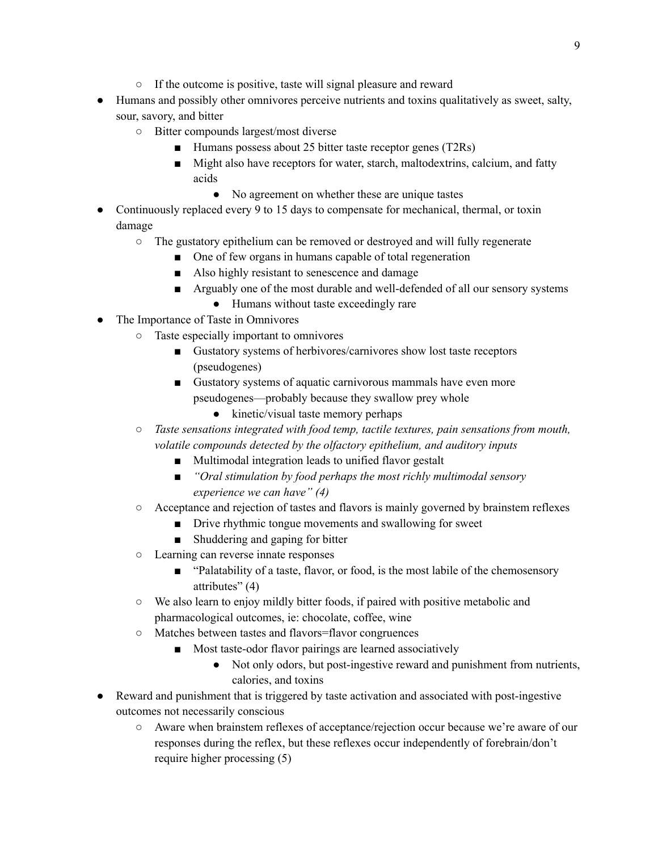- If the outcome is positive, taste will signal pleasure and reward
- Humans and possibly other omnivores perceive nutrients and toxins qualitatively as sweet, salty, sour, savory, and bitter
	- Bitter compounds largest/most diverse
		- Humans possess about 25 bitter taste receptor genes (T2Rs)
		- Might also have receptors for water, starch, maltodextrins, calcium, and fatty acids
			- No agreement on whether these are unique tastes
- Continuously replaced every 9 to 15 days to compensate for mechanical, thermal, or toxin damage
	- The gustatory epithelium can be removed or destroyed and will fully regenerate
		- One of few organs in humans capable of total regeneration
		- Also highly resistant to senescence and damage
		- Arguably one of the most durable and well-defended of all our sensory systems
			- Humans without taste exceedingly rare
- The Importance of Taste in Omnivores
	- Taste especially important to omnivores
		- Gustatory systems of herbivores/carnivores show lost taste receptors (pseudogenes)
		- Gustatory systems of aquatic carnivorous mammals have even more pseudogenes—probably because they swallow prey whole
			- kinetic/visual taste memory perhaps
	- *○ Taste sensations integrated with food temp, tactile textures, pain sensations from mouth, volatile compounds detected by the olfactory epithelium, and auditory inputs*
		- Multimodal integration leads to unified flavor gestalt
		- *■ "Oral stimulation by food perhaps the most richly multimodal sensory experience we can have" (4)*
	- Acceptance and rejection of tastes and flavors is mainly governed by brainstem reflexes
		- Drive rhythmic tongue movements and swallowing for sweet
		- Shuddering and gaping for bitter
	- Learning can reverse innate responses
		- "Palatability of a taste, flavor, or food, is the most labile of the chemosensory attributes" (4)
	- We also learn to enjoy mildly bitter foods, if paired with positive metabolic and pharmacological outcomes, ie: chocolate, coffee, wine
	- Matches between tastes and flavors=flavor congruences
		- Most taste-odor flavor pairings are learned associatively
			- Not only odors, but post-ingestive reward and punishment from nutrients, calories, and toxins
- Reward and punishment that is triggered by taste activation and associated with post-ingestive outcomes not necessarily conscious
	- Aware when brainstem reflexes of acceptance/rejection occur because we're aware of our responses during the reflex, but these reflexes occur independently of forebrain/don't require higher processing (5)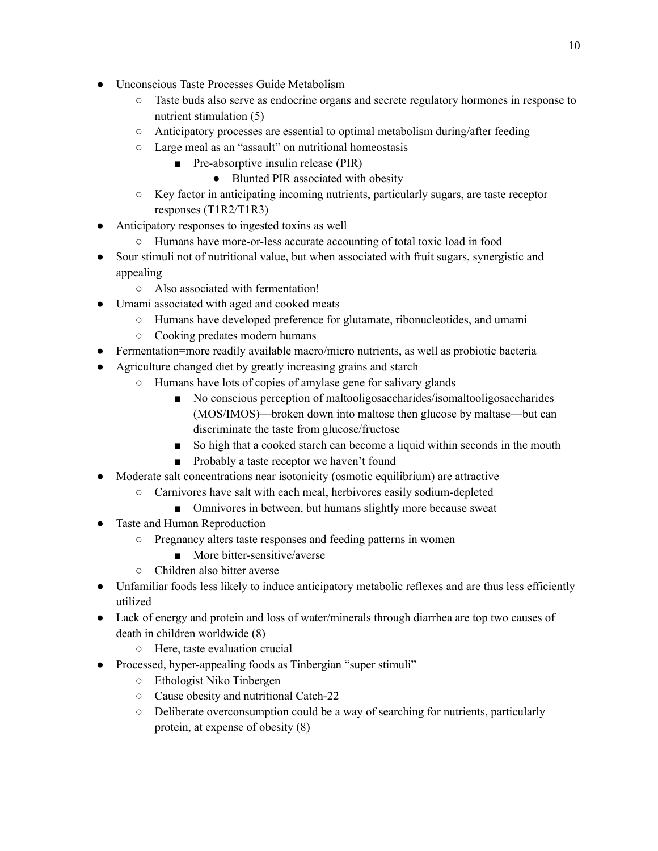- Unconscious Taste Processes Guide Metabolism
	- Taste buds also serve as endocrine organs and secrete regulatory hormones in response to nutrient stimulation (5)
	- $\circ$  Anticipatory processes are essential to optimal metabolism during/after feeding
	- Large meal as an "assault" on nutritional homeostasis
		- Pre-absorptive insulin release (PIR)
			- Blunted PIR associated with obesity
	- Key factor in anticipating incoming nutrients, particularly sugars, are taste receptor responses (T1R2/T1R3)
- Anticipatory responses to ingested toxins as well
	- Humans have more-or-less accurate accounting of total toxic load in food
- Sour stimuli not of nutritional value, but when associated with fruit sugars, synergistic and appealing
	- Also associated with fermentation!
- Umami associated with aged and cooked meats
	- Humans have developed preference for glutamate, ribonucleotides, and umami
	- Cooking predates modern humans
- Fermentation=more readily available macro/micro nutrients, as well as probiotic bacteria
- Agriculture changed diet by greatly increasing grains and starch
	- Humans have lots of copies of amylase gene for salivary glands
		- No conscious perception of maltooligosaccharides/isomaltooligosaccharides (MOS/IMOS)—broken down into maltose then glucose by maltase—but can discriminate the taste from glucose/fructose
		- So high that a cooked starch can become a liquid within seconds in the mouth
		- Probably a taste receptor we haven't found
- Moderate salt concentrations near isotonicity (osmotic equilibrium) are attractive
	- Carnivores have salt with each meal, herbivores easily sodium-depleted
		- Omnivores in between, but humans slightly more because sweat
- Taste and Human Reproduction
	- Pregnancy alters taste responses and feeding patterns in women
		- More bitter-sensitive/averse
	- Children also bitter averse
- Unfamiliar foods less likely to induce anticipatory metabolic reflexes and are thus less efficiently utilized
- Lack of energy and protein and loss of water/minerals through diarrhea are top two causes of death in children worldwide (8)
	- Here, taste evaluation crucial
- Processed, hyper-appealing foods as Tinbergian "super stimuli"
	- Ethologist Niko Tinbergen
	- Cause obesity and nutritional Catch-22
	- Deliberate overconsumption could be a way of searching for nutrients, particularly protein, at expense of obesity (8)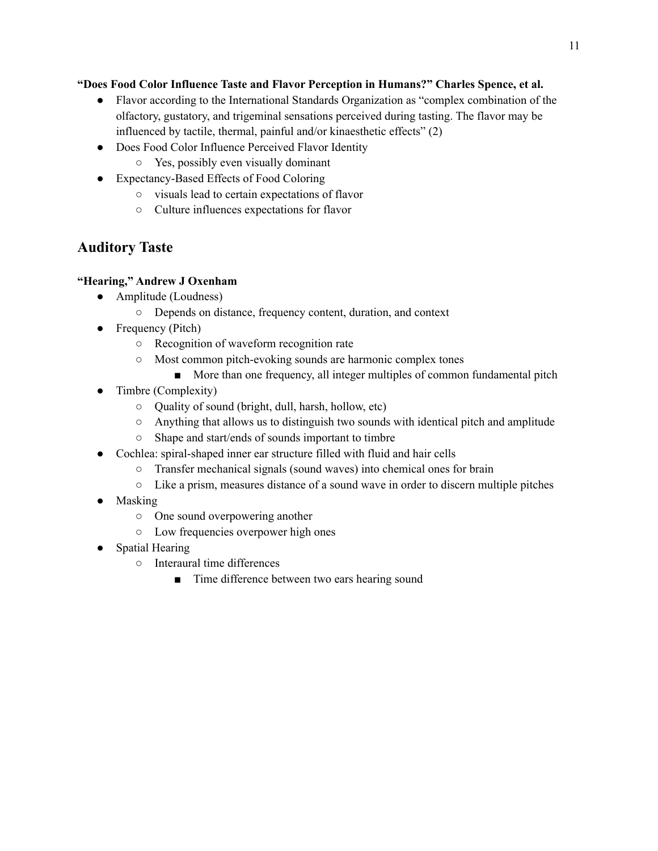#### **"Does Food Color Influence Taste and Flavor Perception in Humans?" Charles Spence, et al.**

- Flavor according to the International Standards Organization as "complex combination of the olfactory, gustatory, and trigeminal sensations perceived during tasting. The flavor may be influenced by tactile, thermal, painful and/or kinaesthetic effects" (2)
- Does Food Color Influence Perceived Flavor Identity
	- Yes, possibly even visually dominant
- Expectancy-Based Effects of Food Coloring
	- visuals lead to certain expectations of flavor
	- Culture influences expectations for flavor

### **Auditory Taste**

#### **"Hearing," Andrew J Oxenham**

- Amplitude (Loudness)
	- Depends on distance, frequency content, duration, and context
- Frequency (Pitch)
	- Recognition of waveform recognition rate
	- Most common pitch-evoking sounds are harmonic complex tones
		- More than one frequency, all integer multiples of common fundamental pitch
- Timbre (Complexity)
	- Quality of sound (bright, dull, harsh, hollow, etc)
	- Anything that allows us to distinguish two sounds with identical pitch and amplitude
	- Shape and start/ends of sounds important to timbre
- Cochlea: spiral-shaped inner ear structure filled with fluid and hair cells
	- Transfer mechanical signals (sound waves) into chemical ones for brain
	- Like a prism, measures distance of a sound wave in order to discern multiple pitches
- Masking
	- One sound overpowering another
	- Low frequencies overpower high ones
- Spatial Hearing
	- Interaural time differences
		- Time difference between two ears hearing sound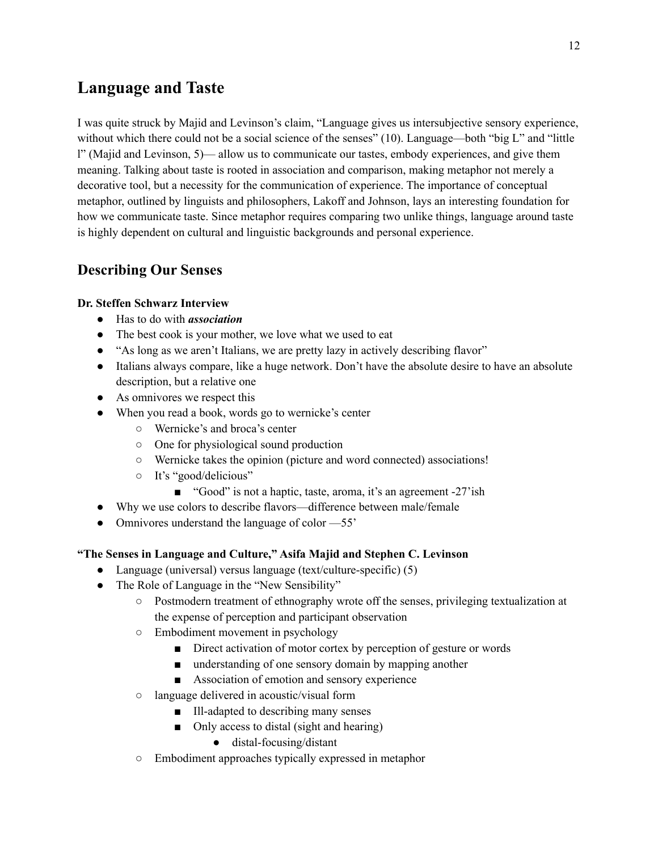# **Language and Taste**

I was quite struck by Majid and Levinson's claim, "Language gives us intersubjective sensory experience, without which there could not be a social science of the senses" (10). Language—both "big L" and "little l" (Majid and Levinson, 5)— allow us to communicate our tastes, embody experiences, and give them meaning. Talking about taste is rooted in association and comparison, making metaphor not merely a decorative tool, but a necessity for the communication of experience. The importance of conceptual metaphor, outlined by linguists and philosophers, Lakoff and Johnson, lays an interesting foundation for how we communicate taste. Since metaphor requires comparing two unlike things, language around taste is highly dependent on cultural and linguistic backgrounds and personal experience.

### **Describing Our Senses**

#### **Dr. Steffen Schwarz Interview**

- Has to do with *association*
- The best cook is your mother, we love what we used to eat
- "As long as we aren't Italians, we are pretty lazy in actively describing flavor"
- Italians always compare, like a huge network. Don't have the absolute desire to have an absolute description, but a relative one
- As omnivores we respect this
- When you read a book, words go to wernicke's center
	- Wernicke's and broca's center
	- One for physiological sound production
	- Wernicke takes the opinion (picture and word connected) associations!
	- It's "good/delicious"
		- "Good" is not a haptic, taste, aroma, it's an agreement -27'ish
- Why we use colors to describe flavors—difference between male/female
- Omnivores understand the language of color  $-55'$

#### **"The Senses in Language and Culture," Asifa Majid and Stephen C. Levinson**

- Language (universal) versus language (text/culture-specific) (5)
- The Role of Language in the "New Sensibility"
	- Postmodern treatment of ethnography wrote off the senses, privileging textualization at the expense of perception and participant observation
	- Embodiment movement in psychology
		- Direct activation of motor cortex by perception of gesture or words
		- understanding of one sensory domain by mapping another
		- Association of emotion and sensory experience
	- language delivered in acoustic/visual form
		- Ill-adapted to describing many senses
		- Only access to distal (sight and hearing)
			- distal-focusing/distant
	- Embodiment approaches typically expressed in metaphor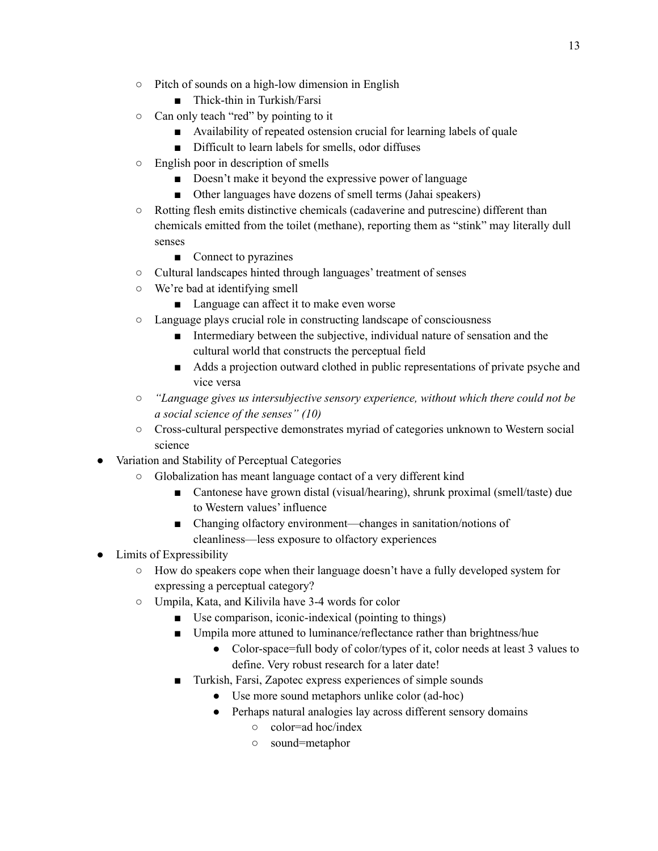- Pitch of sounds on a high-low dimension in English
	- Thick-thin in Turkish/Farsi
- Can only teach "red" by pointing to it
	- Availability of repeated ostension crucial for learning labels of quale
	- Difficult to learn labels for smells, odor diffuses
- English poor in description of smells
	- Doesn't make it beyond the expressive power of language
	- Other languages have dozens of smell terms (Jahai speakers)
- Rotting flesh emits distinctive chemicals (cadaverine and putrescine) different than chemicals emitted from the toilet (methane), reporting them as "stink" may literally dull senses
	- Connect to pyrazines
- Cultural landscapes hinted through languages' treatment of senses
- We're bad at identifying smell
	- Language can affect it to make even worse
- Language plays crucial role in constructing landscape of consciousness
	- Intermediary between the subjective, individual nature of sensation and the cultural world that constructs the perceptual field
	- Adds a projection outward clothed in public representations of private psyche and vice versa
- *○ "Language gives us intersubjective sensory experience, without which there could not be a social science of the senses" (10)*
- Cross-cultural perspective demonstrates myriad of categories unknown to Western social science
- Variation and Stability of Perceptual Categories
	- Globalization has meant language contact of a very different kind
		- Cantonese have grown distal (visual/hearing), shrunk proximal (smell/taste) due to Western values' influence
		- Changing olfactory environment—changes in sanitation/notions of cleanliness—less exposure to olfactory experiences
- Limits of Expressibility
	- How do speakers cope when their language doesn't have a fully developed system for expressing a perceptual category?
	- Umpila, Kata, and Kilivila have 3-4 words for color
		- Use comparison, iconic-indexical (pointing to things)
		- Umpila more attuned to luminance/reflectance rather than brightness/hue
			- Color-space=full body of color/types of it, color needs at least 3 values to define. Very robust research for a later date!
		- Turkish, Farsi, Zapotec express experiences of simple sounds
			- Use more sound metaphors unlike color (ad-hoc)
			- Perhaps natural analogies lay across different sensory domains
				- color=ad hoc/index
				- sound=metaphor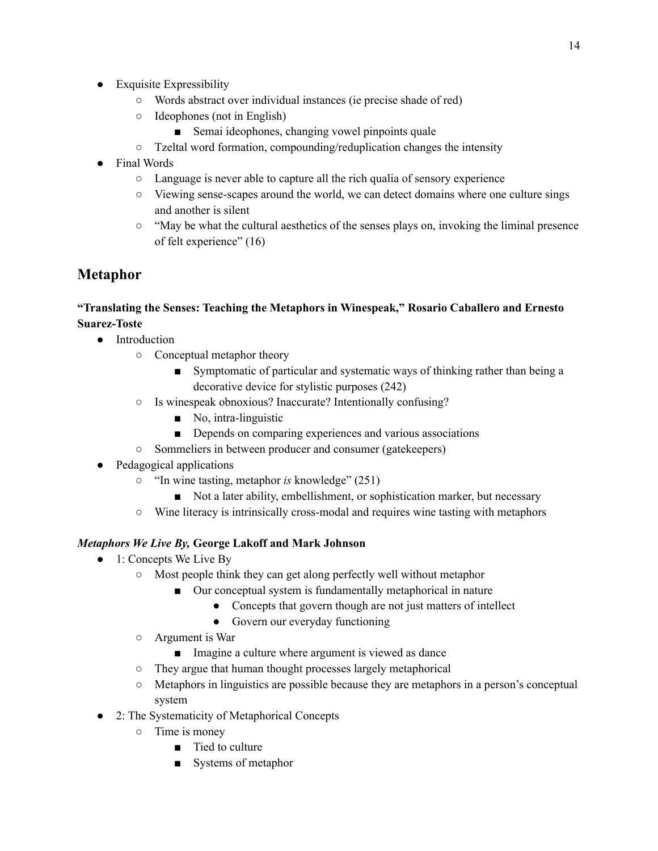- Exquisite Expressibility
	- Words abstract over individual instances (ie precise shade of red)
	- Ideophones (not in English)
		- Semai ideophones, changing vowel pinpoints quale
	- Tzeltal word formation, compounding/reduplication changes the intensity
- **Final Words** 
	- Language is never able to capture all the rich qualia of sensory experience
	- Viewing sense-scapes around the world, we can detect domains where one culture sings and another is silent
	- $\circ$  "May be what the cultural aesthetics of the senses plays on, invoking the liminal presence of felt experience" (16)

### **Metaphor**

#### **"Translating the Senses: Teaching the Metaphors in Winespeak," Rosario Caballero and Ernesto Suarez-Toste**

- Introduction
	- Conceptual metaphor theory
		- Symptomatic of particular and systematic ways of thinking rather than being a decorative device for stylistic purposes (242)
	- Is winespeak obnoxious? Inaccurate? Intentionally confusing?
		- No, intra-linguistic
		- Depends on comparing experiences and various associations
	- Sommeliers in between producer and consumer (gatekeepers)
- Pedagogical applications
	- "In wine tasting, metaphor *is* knowledge" (251)
		- Not a later ability, embellishment, or sophistication marker, but necessary
	- Wine literacy is intrinsically cross-modal and requires wine tasting with metaphors

#### *Metaphors We Live By,* **George Lakoff and Mark Johnson**

- $\bullet$  1: Concepts We Live By
	- Most people think they can get along perfectly well without metaphor
		- Our conceptual system is fundamentally metaphorical in nature
			- Concepts that govern though are not just matters of intellect
			- Govern our everyday functioning
	- Argument is War
		- Imagine a culture where argument is viewed as dance
	- They argue that human thought processes largely metaphorical
	- Metaphors in linguistics are possible because they are metaphors in a person's conceptual system
- 2: The Systematicity of Metaphorical Concepts
	- Time is money
		- Tied to culture
		- Systems of metaphor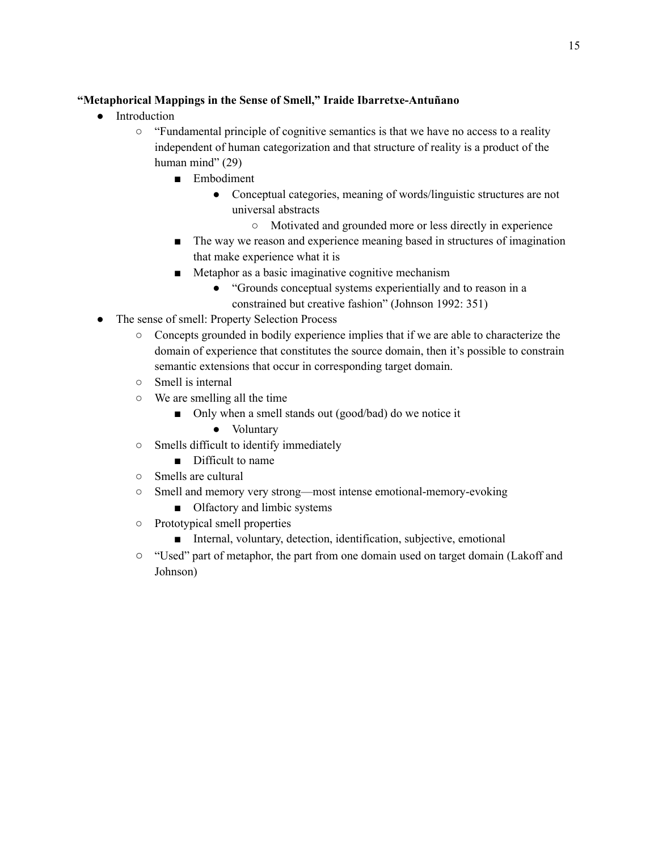#### **"Metaphorical Mappings in the Sense of Smell," Iraide Ibarretxe-Antuñano**

- Introduction
	- "Fundamental principle of cognitive semantics is that we have no access to a reality independent of human categorization and that structure of reality is a product of the human mind" (29)
		- Embodiment
			- Conceptual categories, meaning of words/linguistic structures are not universal abstracts
				- Motivated and grounded more or less directly in experience
		- The way we reason and experience meaning based in structures of imagination that make experience what it is
		- Metaphor as a basic imaginative cognitive mechanism
			- "Grounds conceptual systems experientially and to reason in a constrained but creative fashion" (Johnson 1992: 351)
- The sense of smell: Property Selection Process
	- Concepts grounded in bodily experience implies that if we are able to characterize the domain of experience that constitutes the source domain, then it's possible to constrain semantic extensions that occur in corresponding target domain.
	- Smell is internal
	- We are smelling all the time
		- Only when a smell stands out (good/bad) do we notice it
			- Voluntary
	- Smells difficult to identify immediately
		- Difficult to name
	- Smells are cultural
	- Smell and memory very strong—most intense emotional-memory-evoking
		- Olfactory and limbic systems
	- Prototypical smell properties
		- Internal, voluntary, detection, identification, subjective, emotional
	- "Used" part of metaphor, the part from one domain used on target domain (Lakoff and Johnson)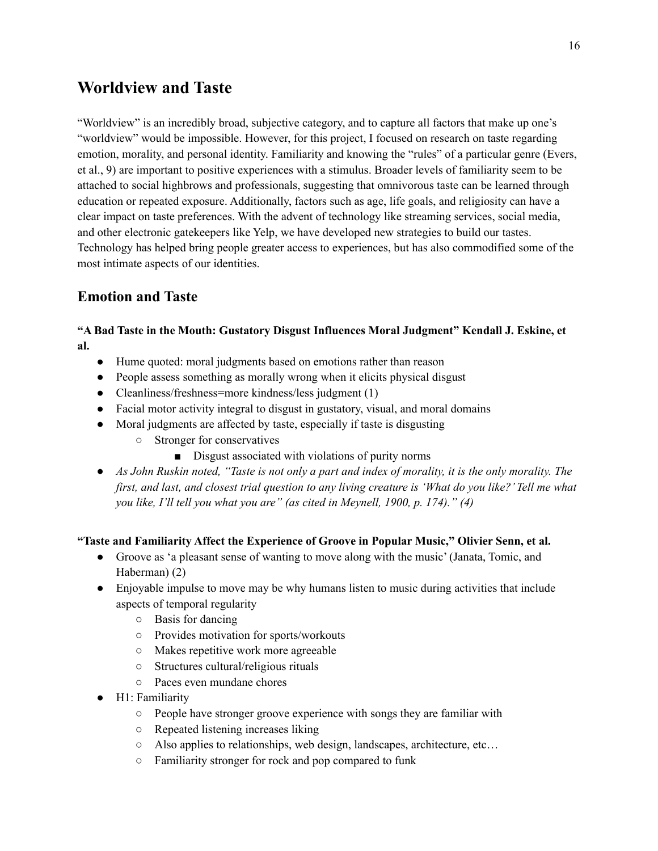### **Worldview and Taste**

"Worldview" is an incredibly broad, subjective category, and to capture all factors that make up one's "worldview" would be impossible. However, for this project, I focused on research on taste regarding emotion, morality, and personal identity. Familiarity and knowing the "rules" of a particular genre (Evers, et al., 9) are important to positive experiences with a stimulus. Broader levels of familiarity seem to be attached to social highbrows and professionals, suggesting that omnivorous taste can be learned through education or repeated exposure. Additionally, factors such as age, life goals, and religiosity can have a clear impact on taste preferences. With the advent of technology like streaming services, social media, and other electronic gatekeepers like Yelp, we have developed new strategies to build our tastes. Technology has helped bring people greater access to experiences, but has also commodified some of the most intimate aspects of our identities.

### **Emotion and Taste**

#### **"A Bad Taste in the Mouth: Gustatory Disgust Influences Moral Judgment" Kendall J. Eskine, et al.**

- Hume quoted: moral judgments based on emotions rather than reason
- People assess something as morally wrong when it elicits physical disgust
- Cleanliness/freshness=more kindness/less judgment (1)
- Facial motor activity integral to disgust in gustatory, visual, and moral domains
- Moral judgments are affected by taste, especially if taste is disgusting
	- Stronger for conservatives
		- Disgust associated with violations of purity norms
- As John Ruskin noted, "Taste is not only a part and index of morality, it is the only morality. The first, and last, and closest trial question to any living creature is 'What do you like?' Tell me what *you like, I'll tell you what you are" (as cited in Meynell, 1900, p. 174)." (4)*

#### **"Taste and Familiarity Affect the Experience of Groove in Popular Music," Olivier Senn, et al.**

- Groove as 'a pleasant sense of wanting to move along with the music' (Janata, Tomic, and Haberman) (2)
- Enjoyable impulse to move may be why humans listen to music during activities that include aspects of temporal regularity
	- Basis for dancing
	- Provides motivation for sports/workouts
	- Makes repetitive work more agreeable
	- Structures cultural/religious rituals
	- Paces even mundane chores
- H1: Familiarity
	- People have stronger groove experience with songs they are familiar with
	- Repeated listening increases liking
	- Also applies to relationships, web design, landscapes, architecture, etc…
	- Familiarity stronger for rock and pop compared to funk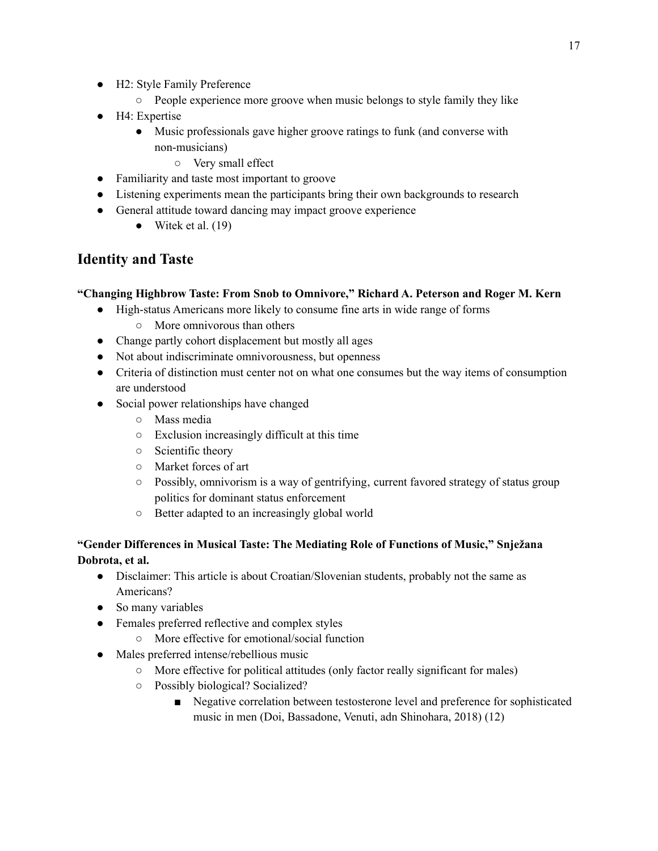- H2: Style Family Preference
	- People experience more groove when music belongs to style family they like
- H4: Expertise
	- Music professionals gave higher groove ratings to funk (and converse with non-musicians)
		- Very small effect
- Familiarity and taste most important to groove
- Listening experiments mean the participants bring their own backgrounds to research
- General attitude toward dancing may impact groove experience
	- $\bullet$  Witek et al. (19)

### **Identity and Taste**

#### **"Changing Highbrow Taste: From Snob to Omnivore," Richard A. Peterson and Roger M. Kern**

- High-status Americans more likely to consume fine arts in wide range of forms
	- More omnivorous than others
- Change partly cohort displacement but mostly all ages
- Not about indiscriminate omnivorousness, but openness
- Criteria of distinction must center not on what one consumes but the way items of consumption are understood
- Social power relationships have changed
	- Mass media
	- Exclusion increasingly difficult at this time
	- Scientific theory
	- Market forces of art
	- $\circ$  Possibly, omnivorism is a way of gentrifying, current favored strategy of status group politics for dominant status enforcement
	- Better adapted to an increasingly global world

#### **"Gender Differences in Musical Taste: The Mediating Role of Functions of Music," Snježana Dobrota, et al.**

- Disclaimer: This article is about Croatian/Slovenian students, probably not the same as Americans?
- So many variables
- Females preferred reflective and complex styles
	- More effective for emotional/social function
- Males preferred intense/rebellious music
	- More effective for political attitudes (only factor really significant for males)
		- Possibly biological? Socialized?
			- Negative correlation between testosterone level and preference for sophisticated music in men (Doi, Bassadone, Venuti, adn Shinohara, 2018) (12)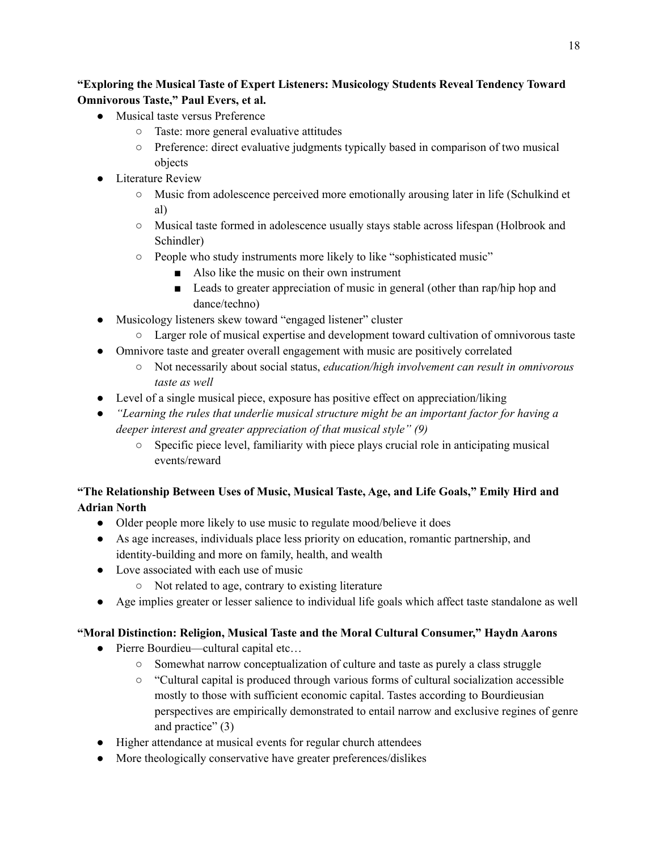#### **"Exploring the Musical Taste of Expert Listeners: Musicology Students Reveal Tendency Toward Omnivorous Taste," Paul Evers, et al.**

- Musical taste versus Preference
	- Taste: more general evaluative attitudes
	- Preference: direct evaluative judgments typically based in comparison of two musical objects
- Literature Review
	- Music from adolescence perceived more emotionally arousing later in life (Schulkind et al)
	- Musical taste formed in adolescence usually stays stable across lifespan (Holbrook and Schindler)
	- People who study instruments more likely to like "sophisticated music"
		- Also like the music on their own instrument
		- Leads to greater appreciation of music in general (other than rap/hip hop and dance/techno)
- Musicology listeners skew toward "engaged listener" cluster
	- Larger role of musical expertise and development toward cultivation of omnivorous taste
- Omnivore taste and greater overall engagement with music are positively correlated
	- Not necessarily about social status, *education/high involvement can result in omnivorous taste as well*
- Level of a single musical piece, exposure has positive effect on appreciation/liking
- *"Learning the rules that underlie musical structure might be an important factor for having a deeper interest and greater appreciation of that musical style" (9)*
	- Specific piece level, familiarity with piece plays crucial role in anticipating musical events/reward

#### **"The Relationship Between Uses of Music, Musical Taste, Age, and Life Goals," Emily Hird and Adrian North**

- Older people more likely to use music to regulate mood/believe it does
- As age increases, individuals place less priority on education, romantic partnership, and identity-building and more on family, health, and wealth
- Love associated with each use of music
	- Not related to age, contrary to existing literature
- Age implies greater or lesser salience to individual life goals which affect taste standalone as well

#### **"Moral Distinction: Religion, Musical Taste and the Moral Cultural Consumer," Haydn Aarons**

- Pierre Bourdieu—cultural capital etc...
	- Somewhat narrow conceptualization of culture and taste as purely a class struggle
	- "Cultural capital is produced through various forms of cultural socialization accessible mostly to those with sufficient economic capital. Tastes according to Bourdieusian perspectives are empirically demonstrated to entail narrow and exclusive regines of genre and practice" (3)
- Higher attendance at musical events for regular church attendees
- More theologically conservative have greater preferences/dislikes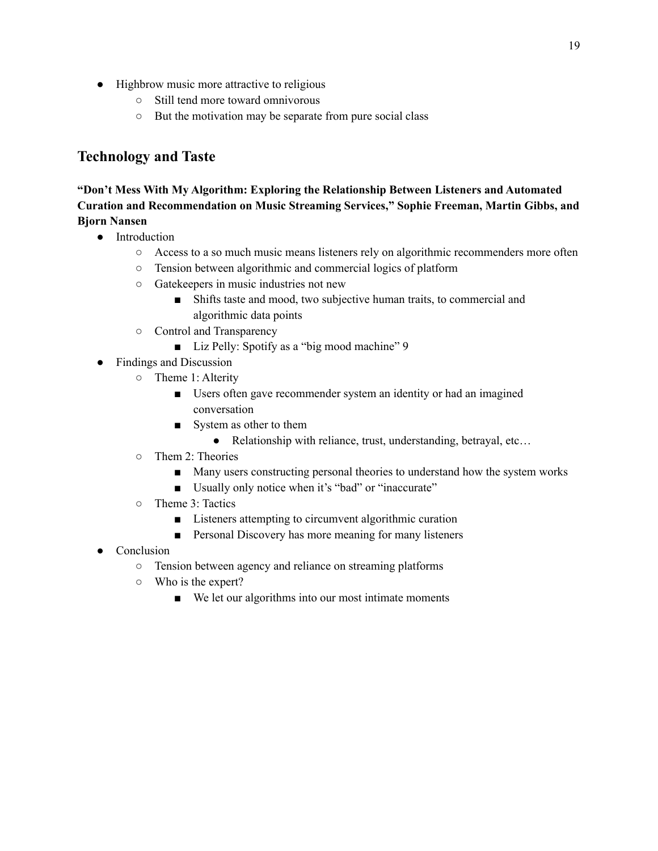- Highbrow music more attractive to religious
	- Still tend more toward omnivorous
	- But the motivation may be separate from pure social class

### **Technology and Taste**

#### **"Don't Mess With My Algorithm: Exploring the Relationship Between Listeners and Automated Curation and Recommendation on Music Streaming Services," Sophie Freeman, Martin Gibbs, and Bjorn Nansen**

- Introduction
	- Access to a so much music means listeners rely on algorithmic recommenders more often
	- Tension between algorithmic and commercial logics of platform
	- Gatekeepers in music industries not new
		- Shifts taste and mood, two subjective human traits, to commercial and algorithmic data points
	- Control and Transparency
		- Liz Pelly: Spotify as a "big mood machine" 9
- Findings and Discussion
	- Theme 1: Alterity
		- Users often gave recommender system an identity or had an imagined conversation
		- System as other to them
			- Relationship with reliance, trust, understanding, betrayal, etc...
	- Them 2: Theories
		- Many users constructing personal theories to understand how the system works
		- Usually only notice when it's "bad" or "inaccurate"
	- Theme 3: Tactics
		- Listeners attempting to circumvent algorithmic curation
		- Personal Discovery has more meaning for many listeners
- Conclusion
	- Tension between agency and reliance on streaming platforms
	- Who is the expert?
		- We let our algorithms into our most intimate moments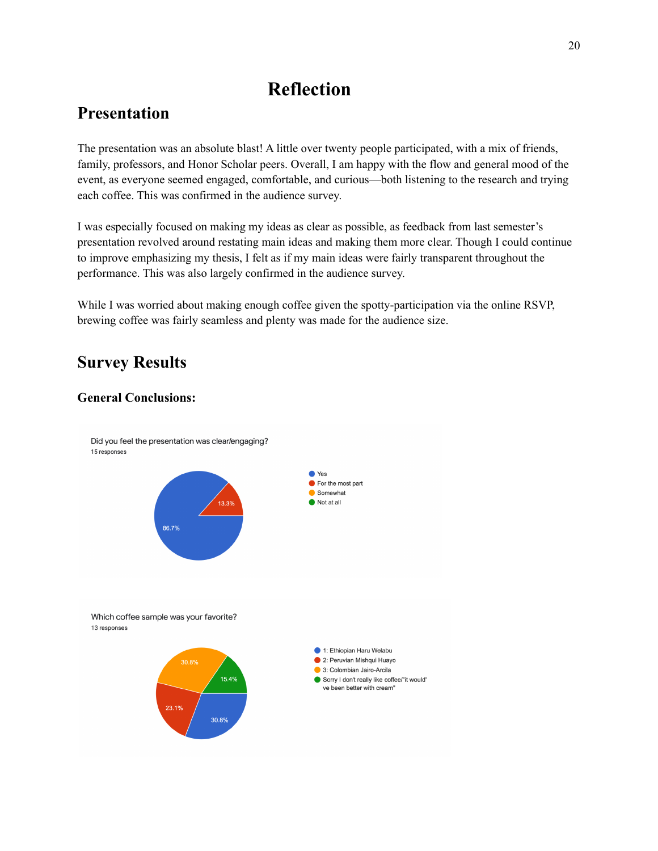# **Reflection**

# **Presentation**

The presentation was an absolute blast! A little over twenty people participated, with a mix of friends, family, professors, and Honor Scholar peers. Overall, I am happy with the flow and general mood of the event, as everyone seemed engaged, comfortable, and curious—both listening to the research and trying each coffee. This was confirmed in the audience survey.

I was especially focused on making my ideas as clear as possible, as feedback from last semester's presentation revolved around restating main ideas and making them more clear. Though I could continue to improve emphasizing my thesis, I felt as if my main ideas were fairly transparent throughout the performance. This was also largely confirmed in the audience survey.

While I was worried about making enough coffee given the spotty-participation via the online RSVP, brewing coffee was fairly seamless and plenty was made for the audience size.

# **Survey Results**

#### **General Conclusions:**

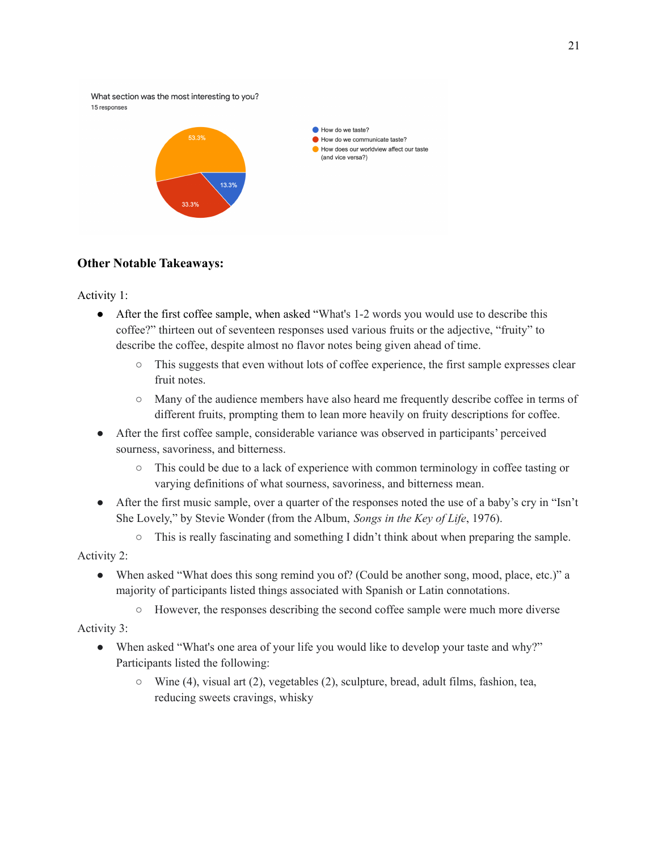What section was the most interesting to you? 15 responses



#### **Other Notable Takeaways:**

Activity 1:

- After the first coffee sample, when asked "What's 1-2 words you would use to describe this coffee?" thirteen out of seventeen responses used various fruits or the adjective, "fruity" to describe the coffee, despite almost no flavor notes being given ahead of time.
	- This suggests that even without lots of coffee experience, the first sample expresses clear fruit notes.
	- Many of the audience members have also heard me frequently describe coffee in terms of different fruits, prompting them to lean more heavily on fruity descriptions for coffee.
- After the first coffee sample, considerable variance was observed in participants' perceived sourness, savoriness, and bitterness.
	- This could be due to a lack of experience with common terminology in coffee tasting or varying definitions of what sourness, savoriness, and bitterness mean.
- After the first music sample, over a quarter of the responses noted the use of a baby's cry in "Isn't She Lovely," by Stevie Wonder (from the Album, *Songs in the Key of Life*, 1976).
	- This is really fascinating and something I didn't think about when preparing the sample.

Activity 2:

- When asked "What does this song remind you of? (Could be another song, mood, place, etc.)" a majority of participants listed things associated with Spanish or Latin connotations.
	- However, the responses describing the second coffee sample were much more diverse

Activity 3:

- When asked "What's one area of your life you would like to develop your taste and why?" Participants listed the following:
	- Wine (4), visual art (2), vegetables (2), sculpture, bread, adult films, fashion, tea, reducing sweets cravings, whisky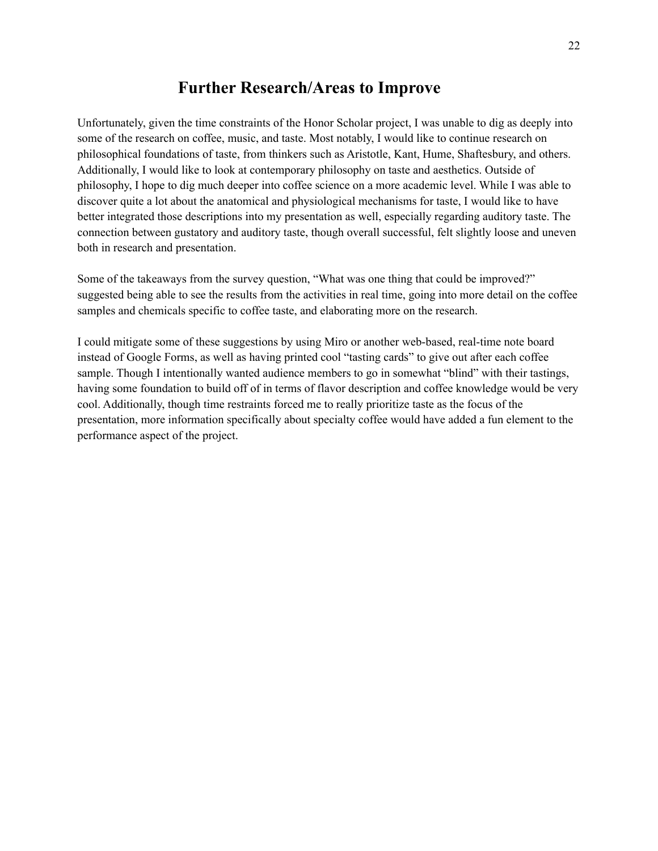### **Further Research/Areas to Improve**

Unfortunately, given the time constraints of the Honor Scholar project, I was unable to dig as deeply into some of the research on coffee, music, and taste. Most notably, I would like to continue research on philosophical foundations of taste, from thinkers such as Aristotle, Kant, Hume, Shaftesbury, and others. Additionally, I would like to look at contemporary philosophy on taste and aesthetics. Outside of philosophy, I hope to dig much deeper into coffee science on a more academic level. While I was able to discover quite a lot about the anatomical and physiological mechanisms for taste, I would like to have better integrated those descriptions into my presentation as well, especially regarding auditory taste. The connection between gustatory and auditory taste, though overall successful, felt slightly loose and uneven both in research and presentation.

Some of the takeaways from the survey question, "What was one thing that could be improved?" suggested being able to see the results from the activities in real time, going into more detail on the coffee samples and chemicals specific to coffee taste, and elaborating more on the research.

I could mitigate some of these suggestions by using Miro or another web-based, real-time note board instead of Google Forms, as well as having printed cool "tasting cards" to give out after each coffee sample. Though I intentionally wanted audience members to go in somewhat "blind" with their tastings, having some foundation to build off of in terms of flavor description and coffee knowledge would be very cool. Additionally, though time restraints forced me to really prioritize taste as the focus of the presentation, more information specifically about specialty coffee would have added a fun element to the performance aspect of the project.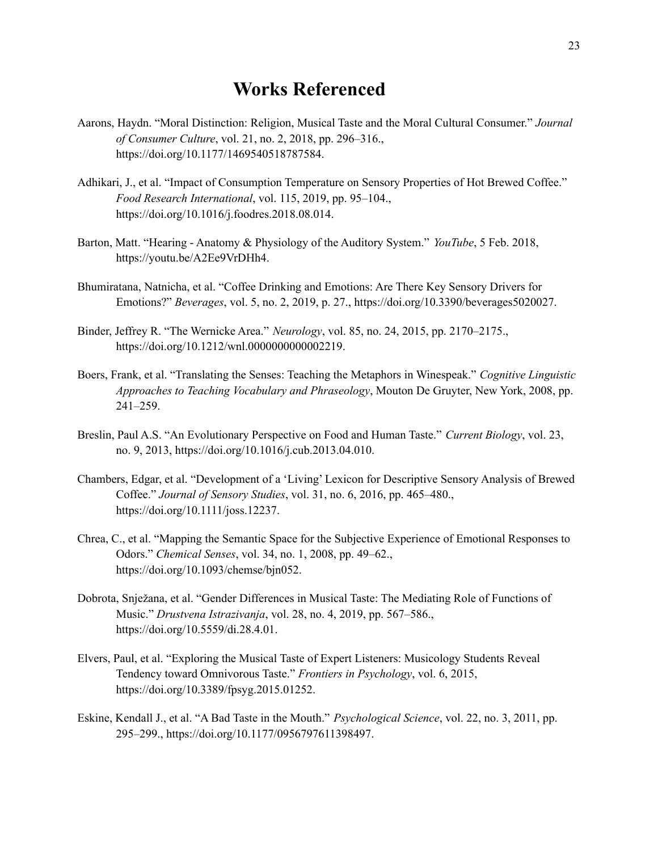### **Works Referenced**

- Aarons, Haydn. "Moral Distinction: Religion, Musical Taste and the Moral Cultural Consumer." *Journal of Consumer Culture*, vol. 21, no. 2, 2018, pp. 296–316., https://doi.org/10.1177/1469540518787584.
- Adhikari, J., et al. "Impact of Consumption Temperature on Sensory Properties of Hot Brewed Coffee." *Food Research International*, vol. 115, 2019, pp. 95–104., https://doi.org/10.1016/j.foodres.2018.08.014.
- Barton, Matt. "Hearing Anatomy & Physiology of the Auditory System." *YouTube*, 5 Feb. 2018, https://youtu.be/A2Ee9VrDHh4.
- Bhumiratana, Natnicha, et al. "Coffee Drinking and Emotions: Are There Key Sensory Drivers for Emotions?" *Beverages*, vol. 5, no. 2, 2019, p. 27., https://doi.org/10.3390/beverages5020027.
- Binder, Jeffrey R. "The Wernicke Area." *Neurology*, vol. 85, no. 24, 2015, pp. 2170–2175., https://doi.org/10.1212/wnl.0000000000002219.
- Boers, Frank, et al. "Translating the Senses: Teaching the Metaphors in Winespeak." *Cognitive Linguistic Approaches to Teaching Vocabulary and Phraseology*, Mouton De Gruyter, New York, 2008, pp. 241–259.
- Breslin, Paul A.S. "An Evolutionary Perspective on Food and Human Taste." *Current Biology*, vol. 23, no. 9, 2013, https://doi.org/10.1016/j.cub.2013.04.010.
- Chambers, Edgar, et al. "Development of a 'Living' Lexicon for Descriptive Sensory Analysis of Brewed Coffee." *Journal of Sensory Studies*, vol. 31, no. 6, 2016, pp. 465–480., https://doi.org/10.1111/joss.12237.
- Chrea, C., et al. "Mapping the Semantic Space for the Subjective Experience of Emotional Responses to Odors." *Chemical Senses*, vol. 34, no. 1, 2008, pp. 49–62., https://doi.org/10.1093/chemse/bjn052.
- Dobrota, Snježana, et al. "Gender Differences in Musical Taste: The Mediating Role of Functions of Music." *Drustvena Istrazivanja*, vol. 28, no. 4, 2019, pp. 567–586., https://doi.org/10.5559/di.28.4.01.
- Elvers, Paul, et al. "Exploring the Musical Taste of Expert Listeners: Musicology Students Reveal Tendency toward Omnivorous Taste." *Frontiers in Psychology*, vol. 6, 2015, https://doi.org/10.3389/fpsyg.2015.01252.
- Eskine, Kendall J., et al. "A Bad Taste in the Mouth." *Psychological Science*, vol. 22, no. 3, 2011, pp. 295–299., https://doi.org/10.1177/0956797611398497.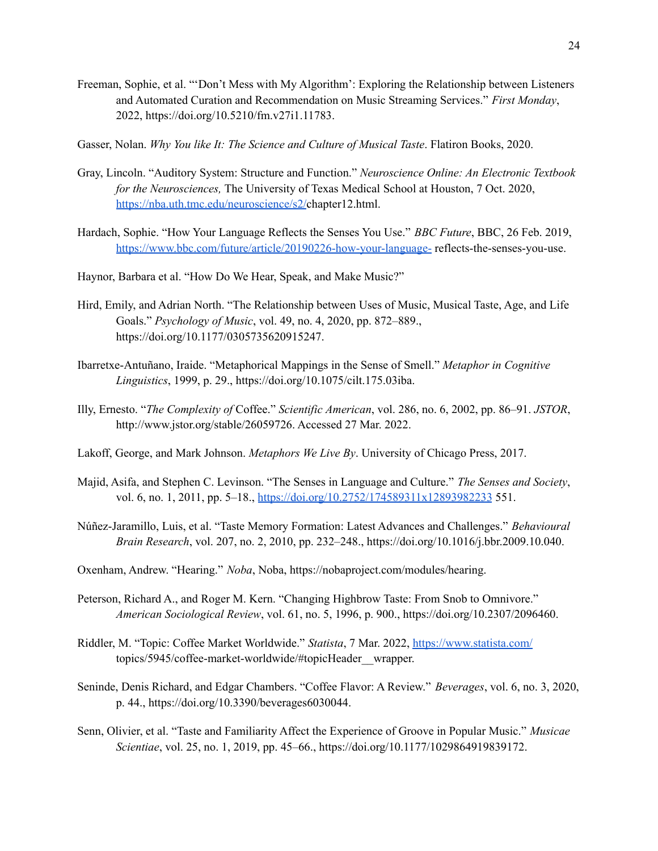- Freeman, Sophie, et al. "'Don't Mess with My Algorithm': Exploring the Relationship between Listeners and Automated Curation and Recommendation on Music Streaming Services." *First Monday*, 2022, https://doi.org/10.5210/fm.v27i1.11783.
- Gasser, Nolan. *Why You like It: The Science and Culture of Musical Taste*. Flatiron Books, 2020.
- Gray, Lincoln. "Auditory System: Structure and Function." *Neuroscience Online: An Electronic Textbook for the Neurosciences,* The University of Texas Medical School at Houston, 7 Oct. 2020, https://nba.uth.tmc.edu/neuroscience/s2/chapter12.html.
- Hardach, Sophie. "How Your Language Reflects the Senses You Use." *BBC Future*, BBC, 26 Feb. 2019, https://www.bbc.com/future/article/20190226-how-your-language- reflects-the-senses-you-use.
- Haynor, Barbara et al. "How Do We Hear, Speak, and Make Music?"
- Hird, Emily, and Adrian North. "The Relationship between Uses of Music, Musical Taste, Age, and Life Goals." *Psychology of Music*, vol. 49, no. 4, 2020, pp. 872–889., https://doi.org/10.1177/0305735620915247.
- Ibarretxe-Antuñano, Iraide. "Metaphorical Mappings in the Sense of Smell." *Metaphor in Cognitive Linguistics*, 1999, p. 29., https://doi.org/10.1075/cilt.175.03iba.
- Illy, Ernesto. "*The Complexity of* Coffee." *Scientific American*, vol. 286, no. 6, 2002, pp. 86–91. *JSTOR*, http://www.jstor.org/stable/26059726. Accessed 27 Mar. 2022.
- Lakoff, George, and Mark Johnson. *Metaphors We Live By*. University of Chicago Press, 2017.
- Majid, Asifa, and Stephen C. Levinson. "The Senses in Language and Culture." *The Senses and Society*, vol. 6, no. 1, 2011, pp. 5–18., https://doi.org/10.2752/174589311x12893982233 551.
- Núñez-Jaramillo, Luis, et al. "Taste Memory Formation: Latest Advances and Challenges." *Behavioural Brain Research*, vol. 207, no. 2, 2010, pp. 232–248., https://doi.org/10.1016/j.bbr.2009.10.040.
- Oxenham, Andrew. "Hearing." *Noba*, Noba, https://nobaproject.com/modules/hearing.
- Peterson, Richard A., and Roger M. Kern. "Changing Highbrow Taste: From Snob to Omnivore." *American Sociological Review*, vol. 61, no. 5, 1996, p. 900., https://doi.org/10.2307/2096460.
- Riddler, M. "Topic: Coffee Market Worldwide." *Statista*, 7 Mar. 2022, https://www.statista.com/ topics/5945/coffee-market-worldwide/#topicHeader\_\_wrapper.
- Seninde, Denis Richard, and Edgar Chambers. "Coffee Flavor: A Review." *Beverages*, vol. 6, no. 3, 2020, p. 44., https://doi.org/10.3390/beverages6030044.
- Senn, Olivier, et al. "Taste and Familiarity Affect the Experience of Groove in Popular Music." *Musicae Scientiae*, vol. 25, no. 1, 2019, pp. 45–66., https://doi.org/10.1177/1029864919839172.